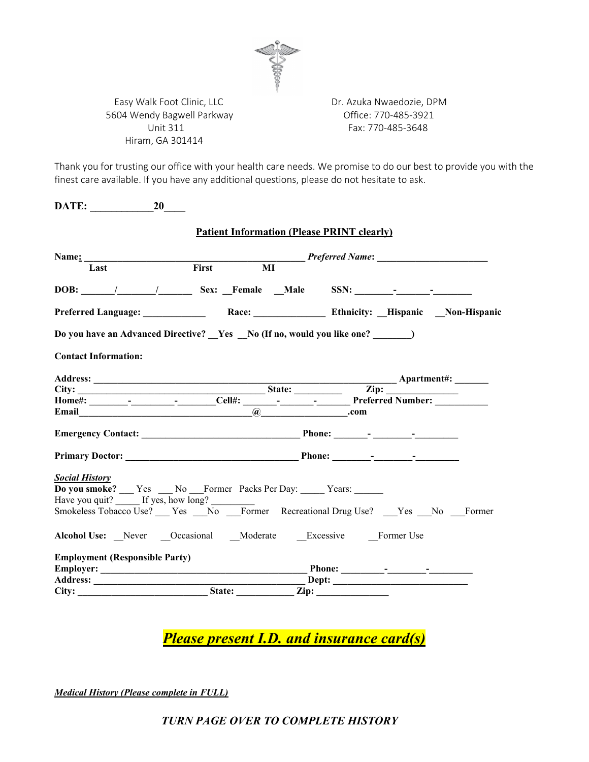

Easy Walk Foot Clinic, LLC **Easy Walk Foot Clinic, LLC** Dr. Azuka Nwaedozie, DPM 5604 Wendy Bagwell Parkway Office: 770-485-3921 Hiram, GA 301414

Unit 311 Fax: 770-485-3648

Thank you for trusting our office with your health care needs. We promise to do our best to provide you with the finest care available. If you have any additional questions, please do not hesitate to ask.

| <b>20</b><br>DATE:                                                                                                                                                                                                            |                                                                                                                                                                                                  |       |  |
|-------------------------------------------------------------------------------------------------------------------------------------------------------------------------------------------------------------------------------|--------------------------------------------------------------------------------------------------------------------------------------------------------------------------------------------------|-------|--|
|                                                                                                                                                                                                                               | <b>Patient Information (Please PRINT clearly)</b>                                                                                                                                                |       |  |
|                                                                                                                                                                                                                               |                                                                                                                                                                                                  |       |  |
| Last                                                                                                                                                                                                                          | $\overline{MI}$<br>First                                                                                                                                                                         |       |  |
|                                                                                                                                                                                                                               | DOB: / / Sex: Female Male SSN: - - -                                                                                                                                                             |       |  |
|                                                                                                                                                                                                                               |                                                                                                                                                                                                  |       |  |
|                                                                                                                                                                                                                               | Do you have an Advanced Directive? _Yes _No (If no, would you like one? _______)                                                                                                                 |       |  |
| <b>Contact Information:</b>                                                                                                                                                                                                   |                                                                                                                                                                                                  |       |  |
|                                                                                                                                                                                                                               |                                                                                                                                                                                                  |       |  |
|                                                                                                                                                                                                                               |                                                                                                                                                                                                  |       |  |
|                                                                                                                                                                                                                               |                                                                                                                                                                                                  |       |  |
| Email explorer and the second services of the services of the services of the services of the services of the services of the services of the services of the services of the services of the services of the services of the |                                                                                                                                                                                                  | .com  |  |
|                                                                                                                                                                                                                               | $\overline{a}$                                                                                                                                                                                   |       |  |
|                                                                                                                                                                                                                               |                                                                                                                                                                                                  |       |  |
|                                                                                                                                                                                                                               |                                                                                                                                                                                                  |       |  |
| <b>Social History</b>                                                                                                                                                                                                         | Do you smoke? __ Yes __ No __ Former Packs Per Day: ____ Years: _____<br>Have you quit? <u>If yes, how long?</u><br>Smokeless Tobacco Use? <u>Ves No</u> Former Recreational Drug Use? No Former |       |  |
|                                                                                                                                                                                                                               |                                                                                                                                                                                                  |       |  |
|                                                                                                                                                                                                                               | Alcohol Use: Never Occasional Moderate Excessive Former Use                                                                                                                                      |       |  |
| <b>Employment (Responsible Party)</b>                                                                                                                                                                                         |                                                                                                                                                                                                  |       |  |
|                                                                                                                                                                                                                               |                                                                                                                                                                                                  |       |  |
|                                                                                                                                                                                                                               |                                                                                                                                                                                                  | Dept: |  |
|                                                                                                                                                                                                                               | City: State: Zip:                                                                                                                                                                                |       |  |

*Please present I.D. and insurance card(s)*

*Medical History (Please complete in FULL)*

*TURN PAGE OVER TO COMPLETE HISTORY*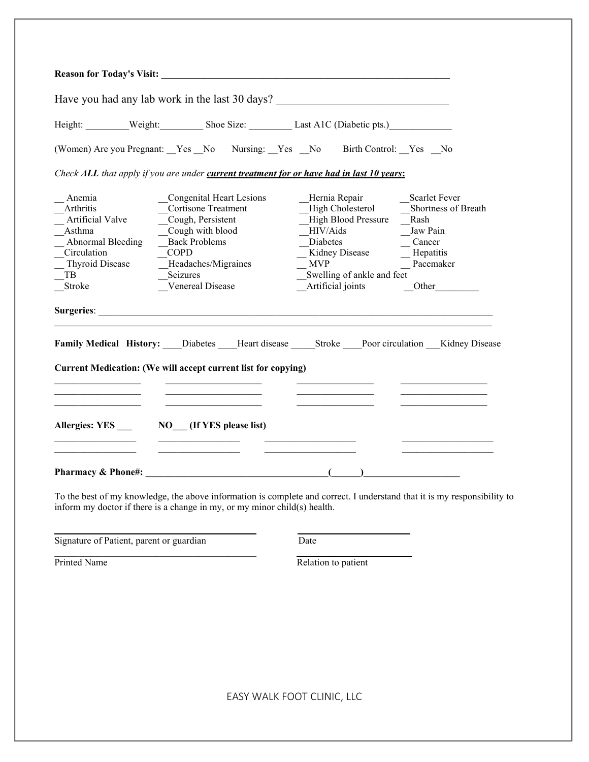|                                                                                                                                 |                                                                                                                                                                                                      | Have you had any lab work in the last 30 days?                                                                                                                                                                                                                                             |
|---------------------------------------------------------------------------------------------------------------------------------|------------------------------------------------------------------------------------------------------------------------------------------------------------------------------------------------------|--------------------------------------------------------------------------------------------------------------------------------------------------------------------------------------------------------------------------------------------------------------------------------------------|
|                                                                                                                                 |                                                                                                                                                                                                      | Height: Weight: Shoe Size: Last A1C (Diabetic pts.)                                                                                                                                                                                                                                        |
|                                                                                                                                 |                                                                                                                                                                                                      | (Women) Are you Pregnant: Yes No Nursing: Yes No Birth Control: Yes No                                                                                                                                                                                                                     |
|                                                                                                                                 | Check ALL that apply if you are under current treatment for or have had in last 10 years:                                                                                                            |                                                                                                                                                                                                                                                                                            |
| Anemia<br>Arthritis<br>Artificial Valve<br>Asthma<br>Abnormal Bleeding<br>Circulation<br><b>Thyroid Disease</b><br>TB<br>Stroke | <b>Congenital Heart Lesions</b><br><b>Cortisone Treatment</b><br>Cough, Persistent<br>Cough with blood<br><b>Back Problems</b><br><b>COPD</b><br>Headaches/Migraines<br>Seizures<br>Venereal Disease | Hernia Repair<br><b>Scarlet Fever</b><br>High Cholesterol<br>Shortness of Breath<br><b>High Blood Pressure</b><br>Rash<br>HIV/Aids<br>Jaw Pain<br>Diabetes<br>Cancer<br>Kidney Disease<br>Hepatitis<br>Pacemaker<br><b>MVP</b><br>Swelling of ankle and feet<br>Artificial joints<br>Other |
|                                                                                                                                 |                                                                                                                                                                                                      |                                                                                                                                                                                                                                                                                            |
|                                                                                                                                 | Current Medication: (We will accept current list for copying)                                                                                                                                        | Family Medical History: Diabetes Heart disease Stroke Poor circulation Kidney Disease                                                                                                                                                                                                      |
|                                                                                                                                 | Allergies: YES NO (If YES please list)                                                                                                                                                               |                                                                                                                                                                                                                                                                                            |
| Pharmacy & Phone#:                                                                                                              | $\overline{a}$ (contract to the contract of $\overline{a}$ )                                                                                                                                         |                                                                                                                                                                                                                                                                                            |

To the best of my knowledge, the above information is complete and correct. I understand that it is my responsibility to inform my doctor if there is a change in my, or my minor child(s) health.

**\_\_\_\_\_\_\_\_\_\_\_\_\_\_\_\_\_\_\_\_\_\_\_\_\_\_\_\_\_\_\_\_\_\_\_\_\_\_\_\_\_\_ \_\_\_\_\_\_\_\_\_\_\_\_\_\_\_\_\_\_\_\_\_\_\_**

\_\_\_\_\_\_\_\_\_\_\_\_\_\_\_\_\_\_\_\_\_\_\_\_\_\_\_\_\_\_\_\_\_\_\_\_\_\_\_\_\_\_ **\_\_\_\_\_\_\_\_\_\_\_\_\_\_\_\_\_\_\_\_\_\_\_\_**

Signature of Patient, parent or guardian Date

Printed Name Relation to patient

EASY WALK FOOT CLINIC, LLC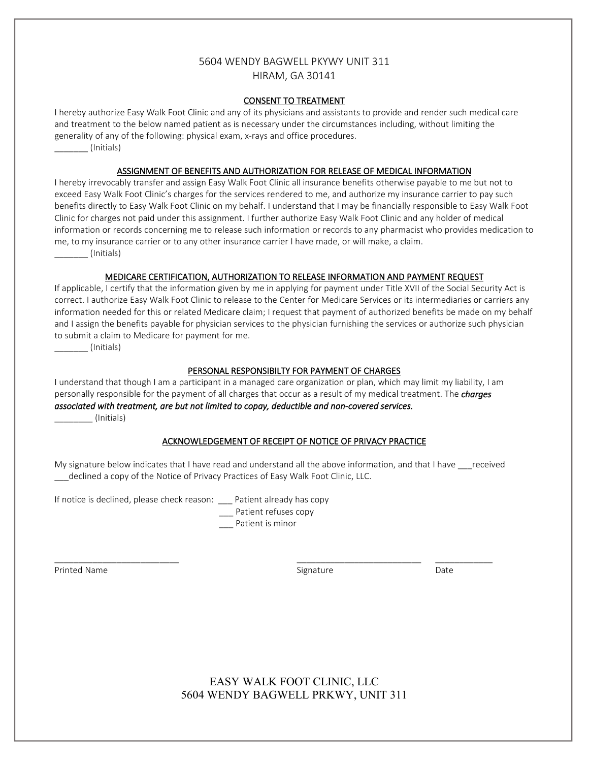## 5604 WENDY BAGWELL PKYWY UNIT 311 HIRAM, GA 30141

#### CONSENT TO TREATMENT

I hereby authorize Easy Walk Foot Clinic and any of its physicians and assistants to provide and render such medical care and treatment to the below named patient as is necessary under the circumstances including, without limiting the generality of any of the following: physical exam, x-rays and office procedures.

\_\_\_\_\_\_\_ (Initials)

## ASSIGNMENT OF BENEFITS AND AUTHORIZATION FOR RELEASE OF MEDICAL INFORMATION

I hereby irrevocably transfer and assign Easy Walk Foot Clinic all insurance benefits otherwise payable to me but not to exceed Easy Walk Foot Clinic's charges for the services rendered to me, and authorize my insurance carrier to pay such benefits directly to Easy Walk Foot Clinic on my behalf. I understand that I may be financially responsible to Easy Walk Foot Clinic for charges not paid under this assignment. I further authorize Easy Walk Foot Clinic and any holder of medical information or records concerning me to release such information or records to any pharmacist who provides medication to me, to my insurance carrier or to any other insurance carrier I have made, or will make, a claim. \_\_\_\_\_\_\_ (Initials)

## MEDICARE CERTIFICATION, AUTHORIZATION TO RELEASE INFORMATION AND PAYMENT REQUEST

If applicable, I certify that the information given by me in applying for payment under Title XVII of the Social Security Act is correct. I authorize Easy Walk Foot Clinic to release to the Center for Medicare Services or its intermediaries or carriers any information needed for this or related Medicare claim; I request that payment of authorized benefits be made on my behalf and I assign the benefits payable for physician services to the physician furnishing the services or authorize such physician to submit a claim to Medicare for payment for me.

\_\_\_\_\_\_\_ (Initials)

## PERSONAL RESPONSIBILTY FOR PAYMENT OF CHARGES

I understand that though I am a participant in a managed care organization or plan, which may limit my liability, I am personally responsible for the payment of all charges that occur as a result of my medical treatment. The *charges associated with treatment, are but not limited to copay, deductible and non-covered services.* \_\_\_\_\_\_\_\_ (Initials)

#### ACKNOWLEDGEMENT OF RECEIPT OF NOTICE OF PRIVACY PRACTICE

My signature below indicates that I have read and understand all the above information, and that I have received declined a copy of the Notice of Privacy Practices of Easy Walk Foot Clinic, LLC.

If notice is declined, please check reason: Patient already has copy

\_\_\_ Patient refuses copy

\_\_\_ Patient is minor

Printed Name **Signature** Signature **Signature** Date Date **Date** 

\_\_\_\_\_\_\_\_\_\_\_\_\_\_\_\_\_\_\_\_\_\_\_\_\_\_ \_\_\_\_\_\_\_\_\_\_\_\_\_\_\_\_\_\_\_\_\_\_\_\_\_\_ \_\_\_\_\_\_\_\_\_\_\_\_

# EASY WALK FOOT CLINIC, LLC 5604 WENDY BAGWELL PRKWY, UNIT 311